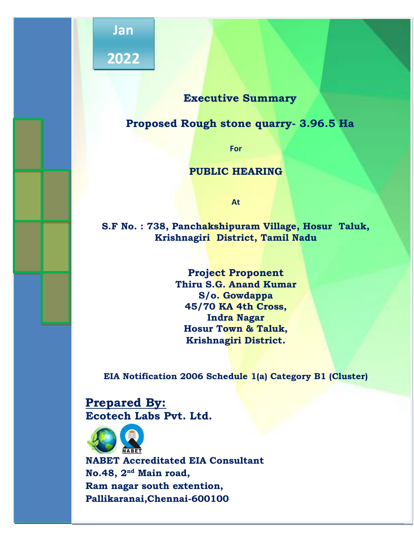

# **Executive Summary**

# **Proposed Rough stone quarry- 3.96.5 Ha**

**For**

# **PUBLIC HEARING**

**At**

**S.F No. : 738, Panchakshipuram Village, Hosur Taluk, Krishnagiri District, Tamil Nadu**

> **Project Proponent Thiru S.G. Anand Kumar S/o. Gowdappa 45/70 KA 4th Cross, Indra Nagar Hosur Town & Taluk, Krishnagiri District.**

**EIA Notification 2006 Schedule 1(a) Category B1 (Cluster)**

**Prepared By: Ecotech Labs Pvt. Ltd.**



**NABET Accreditated EIA Consultant No.48, 2nd Main road, Ram nagar south extention, Pallikaranai,Chennai-600100**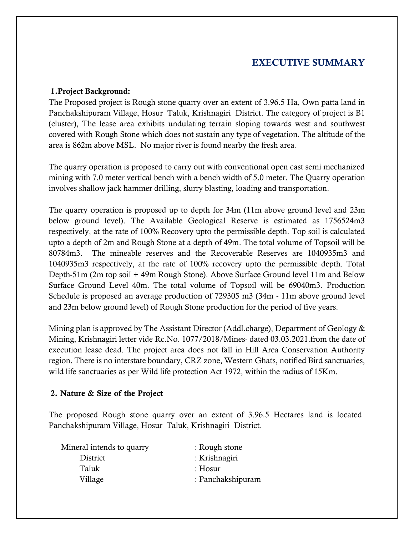# **EXECUTIVE SUMMARY**

#### **1.Project Background:**

The Proposed project is Rough stone quarry over an extent of 3.96.5 Ha, Own patta land in Panchakshipuram Village, Hosur Taluk, Krishnagiri District. The category of project is B1 (cluster), The lease area exhibits undulating terrain sloping towards west and southwest covered with Rough Stone which does not sustain any type of vegetation. The altitude of the area is 862m above MSL. No major river is found nearby the fresh area.

The quarry operation is proposed to carry out with conventional open cast semi mechanized mining with 7.0 meter vertical bench with a bench width of 5.0 meter. The Quarry operation involves shallow jack hammer drilling, slurry blasting, loading and transportation.

The quarry operation is proposed up to depth for 34m (11m above ground level and 23m below ground level). The Available Geological Reserve is estimated as 1756524m3 respectively, at the rate of 100% Recovery upto the permissible depth. Top soil is calculated upto a depth of 2m and Rough Stone at a depth of 49m. The total volume of Topsoil will be 80784m3. The mineable reserves and the Recoverable Reserves are 1040935m3 and 1040935m3 respectively, at the rate of 100% recovery upto the permissible depth. Total Depth-51m (2m top soil + 49m Rough Stone). Above Surface Ground level 11m and Below Surface Ground Level 40m. The total volume of Topsoil will be 69040m3. Production Schedule is proposed an average production of 729305 m3 (34m - 11m above ground level and 23m below ground level) of Rough Stone production for the period of five years.

Mining plan is approved by The Assistant Director (Addl.charge), Department of Geology & Mining, Krishnagiri letter vide Rc.No. 1077/2018/Mines- dated 03.03.2021.from the date of execution lease dead. The project area does not fall in Hill Area Conservation Authority region. There is no interstate boundary, CRZ zone, Western Ghats, notified Bird sanctuaries, wild life sanctuaries as per Wild life protection Act 1972, within the radius of 15Km.

#### **2. Nature & Size of the Project**

The proposed Rough stone quarry over an extent of 3.96.5 Hectares land is located Panchakshipuram Village, Hosur Taluk, Krishnagiri District.

| Mineral intends to quarry | : Rough stone     |
|---------------------------|-------------------|
| District                  | : Krishnagiri     |
| Taluk                     | : $Hosur$         |
| Village                   | : Panchakshipuram |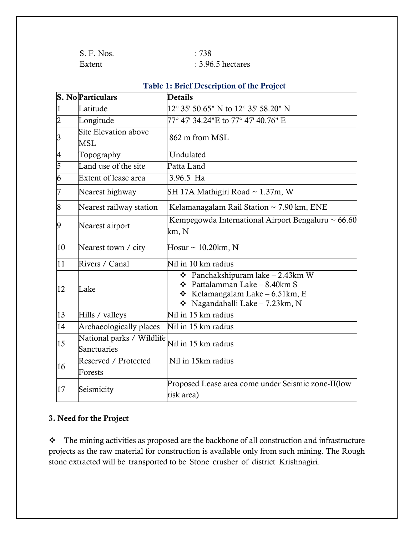| S. F. Nos. | :738                |
|------------|---------------------|
| Extent     | $: 3.96.5$ hectares |

|                         | <b>S. No Particulars</b>           | radio 1. Drive Description of the Froject<br><b>Details</b>                                                                                                           |
|-------------------------|------------------------------------|-----------------------------------------------------------------------------------------------------------------------------------------------------------------------|
| $\vert$ 1               | Latitude                           | 12° 35' 50.65" N to 12° 35' 58.20" N                                                                                                                                  |
| $\overline{c}$          | Longitude                          | 77° 47' 34.24"E to 77° 47' 40.76" E                                                                                                                                   |
| $\overline{\mathbf{3}}$ | Site Elevation above<br><b>MSL</b> | 862 m from MSL                                                                                                                                                        |
| $\overline{4}$          | Topography                         | Undulated                                                                                                                                                             |
| $\overline{5}$          | Land use of the site               | Patta Land                                                                                                                                                            |
| $\overline{6}$          | Extent of lease area               | 3.96.5 Ha                                                                                                                                                             |
| 7                       | Nearest highway                    | SH 17A Mathigiri Road ~ 1.37m, W                                                                                                                                      |
| 8                       | Nearest railway station            | Kelamanagalam Rail Station ~ 7.90 km, ENE                                                                                                                             |
| $\boldsymbol{9}$        | Nearest airport                    | Kempegowda International Airport Bengaluru ~ 66.60<br>km, N                                                                                                           |
| 10                      | Nearest town / city                | Hosur $\sim$ 10.20km, N                                                                                                                                               |
| $\overline{11}$         | Rivers / Canal                     | Nil in 10 km radius                                                                                                                                                   |
| 12                      | Lake                               | <b> ↑</b> Panchakshipuram lake $-2.43$ km W<br><b> +</b> Pattalamman Lake $-8.40$ km S<br><b>❖</b> Kelamangalam Lake $-6.51$ km, E<br>* Nagandahalli Lake - 7.23km, N |
| 13                      | Hills / valleys                    | Nil in 15 km radius                                                                                                                                                   |
| $\overline{14}$         | Archaeologically places            | Nil in 15 km radius                                                                                                                                                   |
| 15                      | National parks / Wildlife          | Nil in 15 km radius                                                                                                                                                   |
|                         | Sanctuaries                        |                                                                                                                                                                       |
| 16                      | Reserved / Protected               | Nil in 15km radius                                                                                                                                                    |
|                         | Forests                            |                                                                                                                                                                       |
| 17                      | Seismicity                         | Proposed Lease area come under Seismic zone-II(low<br>risk area)                                                                                                      |

# **Table 1: Brief Description of the Project**

# **3. Need for the Project**

\* The mining activities as proposed are the backbone of all construction and infrastructure projects as the raw material for construction is available only from such mining. The Rough stone extracted will be transported to be Stone crusher of district Krishnagiri.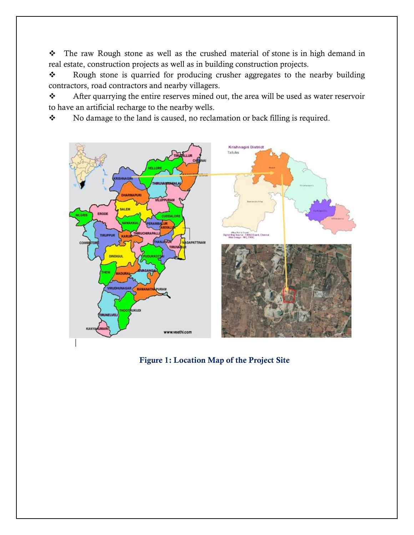The raw Rough stone as well as the crushed material of stone is in high demand in real estate, construction projects as well as in building construction projects.

\* Rough stone is quarried for producing crusher aggregates to the nearby building contractors, road contractors and nearby villagers.

\* After quarrying the entire reserves mined out, the area will be used as water reservoir to have an artificial recharge to the nearby wells.

\* No damage to the land is caused, no reclamation or back filling is required.



**Figure 1: Location Map of the Project Site**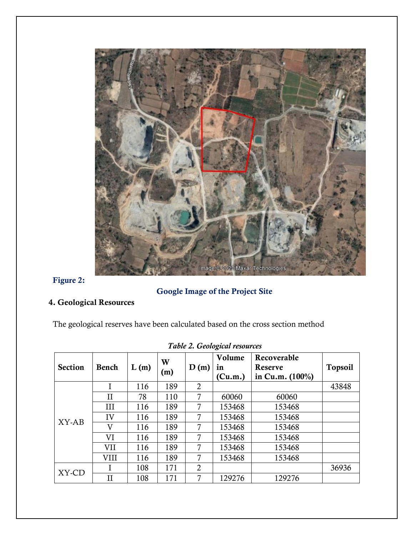

# **Figure 2:**

# **Google Image of the Project Site**

# **4. Geological Resources**

The geological reserves have been calculated based on the cross section method

| <b>Section</b> | <b>Bench</b> | L(m) | W<br>(m) | D(m)           | Volume<br>in<br>(Cu.m.) | Recoverable<br>Reserve<br>in Cu.m. $(100\%)$ | <b>Topsoil</b> |
|----------------|--------------|------|----------|----------------|-------------------------|----------------------------------------------|----------------|
|                |              | 116  | 189      | $\overline{2}$ |                         |                                              | 43848          |
|                | $_{\rm II}$  | 78   | 110      | 7              | 60060                   | 60060                                        |                |
|                | III          | 116  | 189      | 7              | 153468                  | 153468                                       |                |
| XY-AB          | IV           | 116  | 189      | 7              | 153468                  | 153468                                       |                |
|                | V            | 116  | 189      | 7              | 153468                  | 153468                                       |                |
|                | VI           | 116  | 189      | 7              | 153468                  | 153468                                       |                |
|                | VII          | 116  | 189      | 7              | 153468                  | 153468                                       |                |
|                | VIII         | 116  | 189      | 7              | 153468                  | 153468                                       |                |
| XY-CD          |              | 108  | 171      | $\overline{2}$ |                         |                                              | 36936          |
|                | $\mathbf{I}$ | 108  | 171      | 7              | 129276                  | 129276                                       |                |

*Table 2. Geological resources*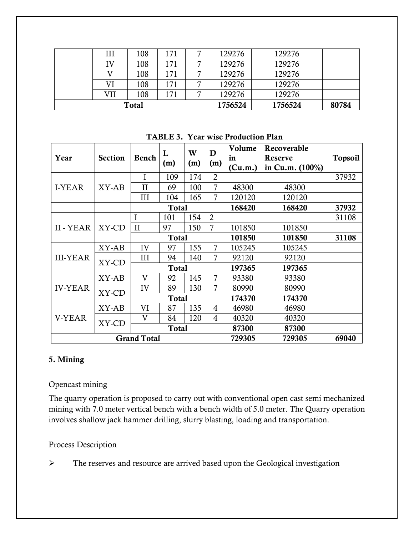| 108<br>129276<br>129276<br>ΙV<br>171<br>129276<br>129276<br>108<br>171<br>129276<br>108<br>129276<br>VI<br>171<br>VII<br>129276<br>108<br>171<br>129276 |           | <b>Total</b> |     | 1756524 | 1756524 | 80784 |
|---------------------------------------------------------------------------------------------------------------------------------------------------------|-----------|--------------|-----|---------|---------|-------|
|                                                                                                                                                         |           |              |     |         |         |       |
|                                                                                                                                                         |           |              |     |         |         |       |
|                                                                                                                                                         |           |              |     |         |         |       |
|                                                                                                                                                         |           |              |     |         |         |       |
|                                                                                                                                                         | $\rm III$ | 108          | 171 | 129276  | 129276  |       |

**TABLE 3. Year wise Production Plan**

| Year               | <b>Section</b> | <b>Bench</b> | L<br>(m)     | W<br>(m) | D<br>(m)       | Volume<br>in<br>(Cu.m.) | Recoverable<br>Reserve<br>in Cu.m. $(100\%)$ | Topsoil |
|--------------------|----------------|--------------|--------------|----------|----------------|-------------------------|----------------------------------------------|---------|
|                    |                | $\mathbf I$  | 109          | 174      | $\overline{2}$ |                         |                                              | 37932   |
| <b>I-YEAR</b>      | XY-AB          | $\mathbf{I}$ | 69           | 100      | $\overline{7}$ | 48300                   | 48300                                        |         |
|                    |                | III          | 104          | 165      | 7              | 120120                  | 120120                                       |         |
|                    |                |              | <b>Total</b> |          |                | 168420                  | 168420                                       | 37932   |
|                    |                | I            | 101          | 154      | $\overline{2}$ |                         |                                              | 31108   |
| II - YEAR          | XY-CD          | $\rm II$     | 97           | 150      | 7              | 101850                  | 101850                                       |         |
|                    |                |              | <b>Total</b> |          |                | 101850                  | 101850                                       | 31108   |
|                    | XY-AB          | IV           | 97           | 155      | 7              | 105245                  | 105245                                       |         |
| <b>III-YEAR</b>    | XY-CD          | III          | 94           | 140      | 7              | 92120                   | 92120                                        |         |
|                    |                | <b>Total</b> |              |          |                | 197365                  | 197365                                       |         |
|                    | XY-AB          | $\mathbf{V}$ | 92           | 145      | 7              | 93380                   | 93380                                        |         |
| <b>IV-YEAR</b>     | XY-CD          | IV           | 89           | 130      | 7              | 80990                   | 80990                                        |         |
|                    |                | <b>Total</b> |              |          |                | 174370                  | 174370                                       |         |
|                    | XY-AB          | VI           | 87           | 135      | 4              | 46980                   | 46980                                        |         |
| V-YEAR             | XY-CD          | V            | 84           | 120      | $\overline{4}$ | 40320                   | 40320                                        |         |
|                    |                |              | <b>Total</b> |          |                | 87300                   | 87300                                        |         |
| <b>Grand Total</b> |                |              |              |          |                | 729305                  | 729305                                       | 69040   |

### **5. Mining**

#### Opencast mining

The quarry operation is proposed to carry out with conventional open cast semi mechanized mining with 7.0 meter vertical bench with a bench width of 5.0 meter. The Quarry operation involves shallow jack hammer drilling, slurry blasting, loading and transportation.

#### Process Description

The reserves and resource are arrived based upon the Geological investigation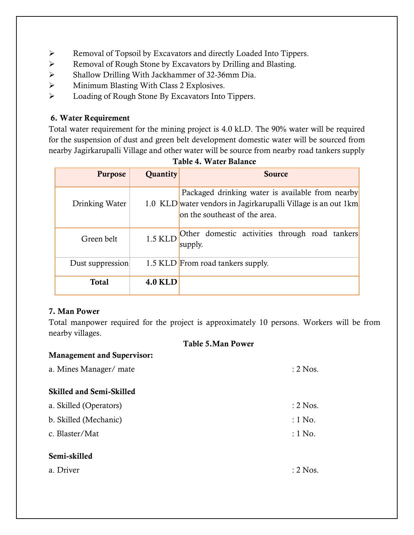- Removal of Topsoil by Excavators and directly Loaded Into Tippers.
- Removal of Rough Stone by Excavators by Drilling and Blasting.
- Shallow Drilling With Jackhammer of 32-36mm Dia.
- $\triangleright$  Minimum Blasting With Class 2 Explosives.
- $\triangleright$  Loading of Rough Stone By Excavators Into Tippers.

# **6. Water Requirement**

Total water requirement for the mining project is 4.0 kLD. The 90% water will be required for the suspension of dust and green belt development domestic water will be sourced from nearby Jagirkarupalli Village and other water will be source from nearby road tankers supply

| <b>Purpose</b>   | <b>Quantity</b> | <b>Source</b>                                                                                                                                      |
|------------------|-----------------|----------------------------------------------------------------------------------------------------------------------------------------------------|
| Drinking Water   |                 | Packaged drinking water is available from nearby<br>1.0 KLD water vendors in Jagirkarupalli Village is an out 1km<br>on the southeast of the area. |
| Green belt       | 1.5 KLD         | Other domestic activities through road tankers<br>supply.                                                                                          |
| Dust suppression |                 | 1.5 KLD From road tankers supply.                                                                                                                  |
| <b>Total</b>     | <b>4.0 KLD</b>  |                                                                                                                                                    |

**Table 4. Water Balance**

# **7. Man Power**

**Management and Supervisor:**

Total manpower required for the project is approximately 10 persons. Workers will be from nearby villages.

#### **Table 5.Man Power**

| a. Mines Manager/ mate          | $: 2$ Nos. |
|---------------------------------|------------|
| <b>Skilled and Semi-Skilled</b> |            |
| a. Skilled (Operators)          | $: 2$ Nos. |
| b. Skilled (Mechanic)           | $:1$ No.   |
| c. Blaster/Mat                  | $:1$ No.   |
| Semi-skilled                    |            |
| a. Driver                       | $: 2$ Nos. |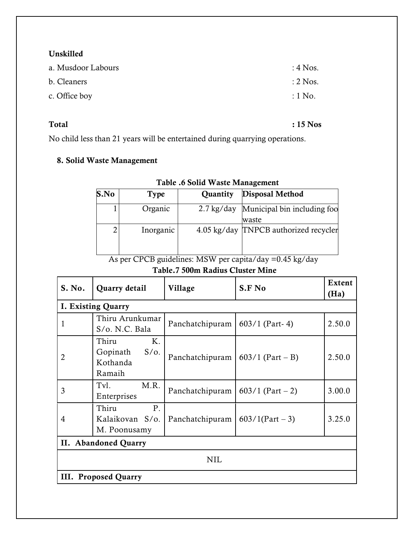### **Unskilled**

| a. Musdoor Labours | $:4$ Nos.           |
|--------------------|---------------------|
| b. Cleaners        | $\therefore$ 2 Nos. |
| c. Office boy      | $\div 1$ No.        |

**Total : 15 Nos**

No child less than 21 years will be entertained during quarrying operations.

# **8. Solid Waste Management**

| S.No | Type      | Quantity             | <b>Disposal Method</b>                |
|------|-----------|----------------------|---------------------------------------|
|      | Organic   | $2.7 \text{ kg/day}$ | Municipal bin including foo<br>waste  |
| 2    | Inorganic |                      | 4.05 kg/day TNPCB authorized recycler |

#### **Table .6 Solid Waste Management**

 As per CPCB guidelines: MSW per capita/day =0.45 kg/day **Table.7 500m Radius Cluster Mine**

| S. No. | Quarry detail                                            | Village         | S.F No             | <b>Extent</b><br>(Ha) |  |  |
|--------|----------------------------------------------------------|-----------------|--------------------|-----------------------|--|--|
|        | <b>I. Existing Quarry</b>                                |                 |                    |                       |  |  |
| 1      | Thiru Arunkumar<br>S/o. N.C. Bala                        | Panchatchipuram | $603/1$ (Part-4)   | 2.50.0                |  |  |
| 2      | Thiru<br>K.<br>$S/O$ .<br>Gopinath<br>Kothanda<br>Ramaih | Panchatchipuram | $603/1$ (Part – B) | 2.50.0                |  |  |
| 3      | M.R.<br>Tvl.<br>Enterprises                              | Panchatchipuram | $603/1$ (Part - 2) | 3.00.0                |  |  |
| 4      | P.<br>Thiru<br>Kalaikovan S/o.<br>M. Poonusamy           | Panchatchipuram | $603/1$ (Part – 3) | 3.25.0                |  |  |
|        | II. Abandoned Quarry                                     |                 |                    |                       |  |  |
| NIL    |                                                          |                 |                    |                       |  |  |
|        | III. Proposed Quarry                                     |                 |                    |                       |  |  |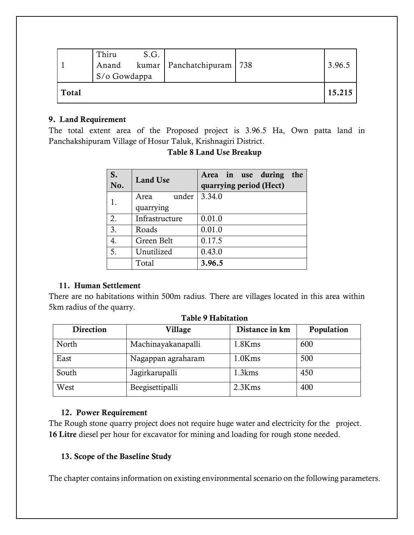|       | Thiru<br>S/o Gowdappa | S.G. | Anand kumar Panchatchipuram 738 | 3.96.5 |
|-------|-----------------------|------|---------------------------------|--------|
| Total |                       |      |                                 | 15.215 |

#### **9. Land Requirement**

The total extent area of the Proposed project is 3.96.5 Ha, Own patta land in Panchakshipuram Village of Hosur Taluk, Krishnagiri District.

| S.<br>No. | <b>Land Use</b>            | Area in use during<br>the<br>quarrying period (Hect) |
|-----------|----------------------------|------------------------------------------------------|
|           | under<br>Area<br>quarrying | 3.34.0                                               |
| 2.        | Infrastructure             | 0.01.0                                               |
| 3.        | Roads                      | 0.01.0                                               |
| 4.        | Green Belt                 | 0.17.5                                               |
| 5.        | Unutilized                 | 0.43.0                                               |
|           | Total                      | 3.96.5                                               |

# **Table 8 Land Use Breakup**

# **11. Human Settlement**

There are no habitations within 500m radius. There are villages located in this area within 5km radius of the quarry.

| <b>Direction</b> | Village            | Distance in km | Population |  |  |
|------------------|--------------------|----------------|------------|--|--|
| North            | Machinayakanapalli | 1.8Kms         | 600        |  |  |
| East             | Nagappan agraharam | 1.0Kms         | 500        |  |  |
| South            | Jagirkarupalli     | 1.3kms         | 450        |  |  |
| West             | Beegisettipalli    | 2.3Kms         | 400        |  |  |

#### **Table 9 Habitation**

#### **12. Power Requirement**

The Rough stone quarry project does not require huge water and electricity for the project. **16 Litre** diesel per hour for excavator for mining and loading for rough stone needed.

# **13. Scope of the Baseline Study**

The chapter contains information on existing environmental scenario on the following parameters.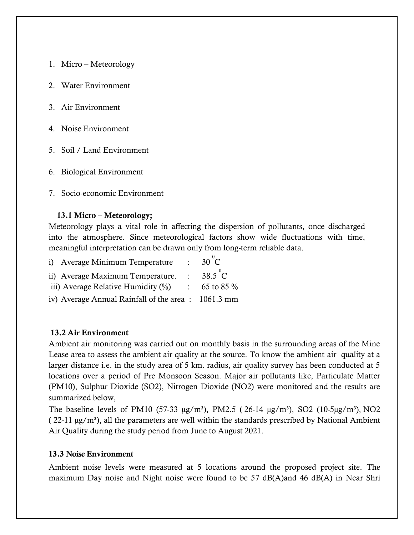- 1. Micro Meteorology
- 2. Water Environment
- 3. Air Environment
- 4. Noise Environment
- 5. Soil / Land Environment
- 6. Biological Environment
- 7. Socio-economic Environment

#### **13.1 Micro – Meteorology;**

Meteorology plays a vital role in affecting the dispersion of pollutants, once discharged into the atmosphere. Since meteorological factors show wide fluctuations with time, meaningful interpretation can be drawn only from long-term reliable data.

| i) Average Minimum Temperature                     | $\mathbf{L}$              | $30^{\circ}$ C  |
|----------------------------------------------------|---------------------------|-----------------|
| ii) Average Maximum Temperature.                   | $\sim$                    | $38.5\degree$ C |
| iii) Average Relative Humidity $(\%)$              | $\mathbb{R}^{\mathbb{Z}}$ | 65 to 85 %      |
| iv) Average Annual Rainfall of the area: 1061.3 mm |                           |                 |

#### **13.2 Air Environment**

Ambient air monitoring was carried out on monthly basis in the surrounding areas of the Mine Lease area to assess the ambient air quality at the source. To know the ambient air quality at a larger distance i.e. in the study area of 5 km. radius, air quality survey has been conducted at 5 locations over a period of Pre Monsoon Season. Major air pollutants like, Particulate Matter (PM10), Sulphur Dioxide (SO2), Nitrogen Dioxide (NO2) were monitored and the results are summarized below,

The baseline levels of PM10 (57-33  $\mu$ g/m<sup>3</sup>), PM2.5 (26-14  $\mu$ g/m<sup>3</sup>), SO2 (10-5 $\mu$ g/m<sup>3</sup>), NO2  $(22-11 \mu g/m<sup>3</sup>)$ , all the parameters are well within the standards prescribed by National Ambient Air Quality during the study period from June to August 2021.

#### **13.3 Noise Environment**

Ambient noise levels were measured at 5 locations around the proposed project site. The maximum Day noise and Night noise were found to be 57 dB(A)and 46 dB(A) in Near Shri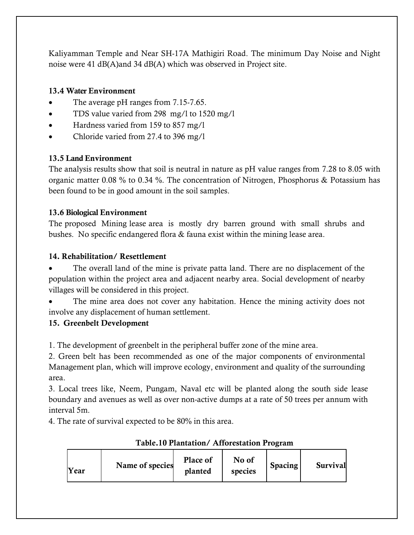Kaliyamman Temple and Near SH-17A Mathigiri Road. The minimum Day Noise and Night noise were 41 dB(A)and 34 dB(A) which was observed in Project site.

# **13.4 Water Environment**

- The average pH ranges from 7.15-7.65.
- TDS value varied from 298 mg/l to 1520 mg/l
- Hardness varied from 159 to 857 mg/l
- Chloride varied from 27.4 to 396 mg/l

# **13.5 Land Environment**

The analysis results show that soil is neutral in nature as pH value ranges from 7.28 to 8.05 with organic matter 0.08 % to 0.34 %. The concentration of Nitrogen, Phosphorus & Potassium has been found to be in good amount in the soil samples.

# **13.6 Biological Environment**

The proposed Mining lease area is mostly dry barren ground with small shrubs and bushes. No specific endangered flora & fauna exist within the mining lease area.

# **14. Rehabilitation/ Resettlement**

 The overall land of the mine is private patta land. There are no displacement of the population within the project area and adjacent nearby area. Social development of nearby villages will be considered in this project.

 The mine area does not cover any habitation. Hence the mining activity does not involve any displacement of human settlement.

# **15. Greenbelt Development**

1. The development of greenbelt in the peripheral buffer zone of the mine area.

2. Green belt has been recommended as one of the major components of environmental Management plan, which will improve ecology, environment and quality of the surrounding area.

3. Local trees like, Neem, Pungam, Naval etc will be planted along the south side lease boundary and avenues as well as over non-active dumps at a rate of 50 trees per annum with interval 5m.

4. The rate of survival expected to be 80% in this area.

| Name of species<br>Year | Place of<br>planted | No of<br>species | Spacing | <b>Survival</b> |
|-------------------------|---------------------|------------------|---------|-----------------|
|-------------------------|---------------------|------------------|---------|-----------------|

# **Table.10 Plantation/ Afforestation Program**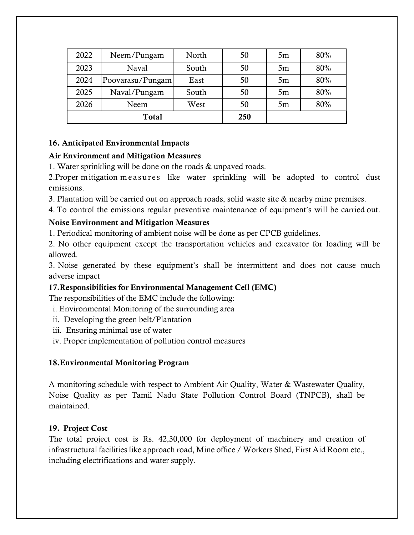| 2022 | Neem/Pungam      | North | 50  | 5m | 80% |
|------|------------------|-------|-----|----|-----|
| 2023 | Naval            | South | 50  | 5m | 80% |
| 2024 | Poovarasu/Pungam | East  | 50  | 5m | 80% |
| 2025 | Naval/Pungam     | South | 50  | 5m | 80% |
| 2026 | Neem             | West  | 50  | 5m | 80% |
|      | Total            |       | 250 |    |     |

# **16. Anticipated Environmental Impacts**

# **Air Environment and Mitigation Measures**

1. Water sprinkling will be done on the roads & unpaved roads.

2. Proper mitigation measures like water sprinkling will be adopted to control dust emissions.

3. Plantation will be carried out on approach roads, solid waste site & nearby mine premises.

4. To control the emissions regular preventive maintenance of equipment's will be carried out.

# **Noise Environment and Mitigation Measures**

1. Periodical monitoring of ambient noise will be done as per CPCB guidelines.

2. No other equipment except the transportation vehicles and excavator for loading will be allowed.

3. Noise generated by these equipment's shall be intermittent and does not cause much adverse impact

# **17.Responsibilities for Environmental Management Cell (EMC)**

The responsibilities of the EMC include the following:

- i. Environmental Monitoring of the surrounding area
- ii. Developing the green belt/Plantation
- iii. Ensuring minimal use of water
- iv. Proper implementation of pollution control measures

# **18.Environmental Monitoring Program**

A monitoring schedule with respect to Ambient Air Quality, Water & Wastewater Quality, Noise Quality as per Tamil Nadu State Pollution Control Board (TNPCB), shall be maintained.

# **19. Project Cost**

The total project cost is Rs. 42,30,000 for deployment of machinery and creation of infrastructural facilities like approach road, Mine office / Workers Shed, First Aid Room etc., including electrifications and water supply.